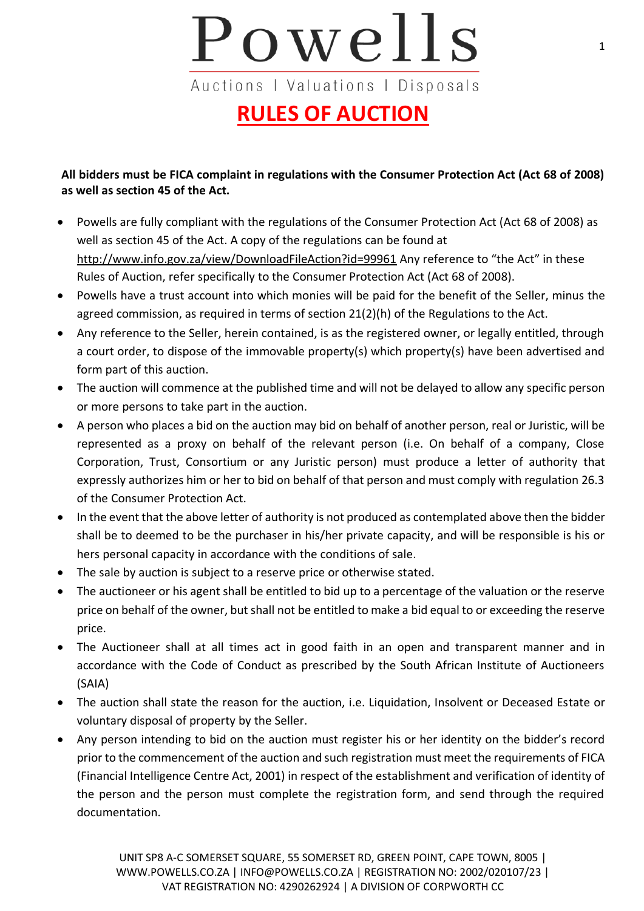## Powells Auctions | Valuations | Disposals

## **RULES OF AUCTION**

**All bidders must be FICA complaint in regulations with the Consumer Protection Act (Act 68 of 2008) as well as section 45 of the Act.** 

- Powells are fully compliant with the regulations of the Consumer Protection Act (Act 68 of 2008) as well as section 45 of the Act. A copy of the regulations can be found at <http://www.info.gov.za/view/DownloadFileAction?id=99961> Any reference to "the Act" in these Rules of Auction, refer specifically to the Consumer Protection Act (Act 68 of 2008).
- Powells have a trust account into which monies will be paid for the benefit of the Seller, minus the agreed commission, as required in terms of section 21(2)(h) of the Regulations to the Act.
- Any reference to the Seller, herein contained, is as the registered owner, or legally entitled, through a court order, to dispose of the immovable property(s) which property(s) have been advertised and form part of this auction.
- The auction will commence at the published time and will not be delayed to allow any specific person or more persons to take part in the auction.
- A person who places a bid on the auction may bid on behalf of another person, real or Juristic, will be represented as a proxy on behalf of the relevant person (i.e. On behalf of a company, Close Corporation, Trust, Consortium or any Juristic person) must produce a letter of authority that expressly authorizes him or her to bid on behalf of that person and must comply with regulation 26.3 of the Consumer Protection Act.
- In the event that the above letter of authority is not produced as contemplated above then the bidder shall be to deemed to be the purchaser in his/her private capacity, and will be responsible is his or hers personal capacity in accordance with the conditions of sale.
- The sale by auction is subject to a reserve price or otherwise stated.
- The auctioneer or his agent shall be entitled to bid up to a percentage of the valuation or the reserve price on behalf of the owner, but shall not be entitled to make a bid equal to or exceeding the reserve price.
- The Auctioneer shall at all times act in good faith in an open and transparent manner and in accordance with the Code of Conduct as prescribed by the South African Institute of Auctioneers (SAIA)
- The auction shall state the reason for the auction, i.e. Liquidation, Insolvent or Deceased Estate or voluntary disposal of property by the Seller.
- Any person intending to bid on the auction must register his or her identity on the bidder's record prior to the commencement of the auction and such registration must meet the requirements of FICA (Financial Intelligence Centre Act, 2001) in respect of the establishment and verification of identity of the person and the person must complete the registration form, and send through the required documentation.